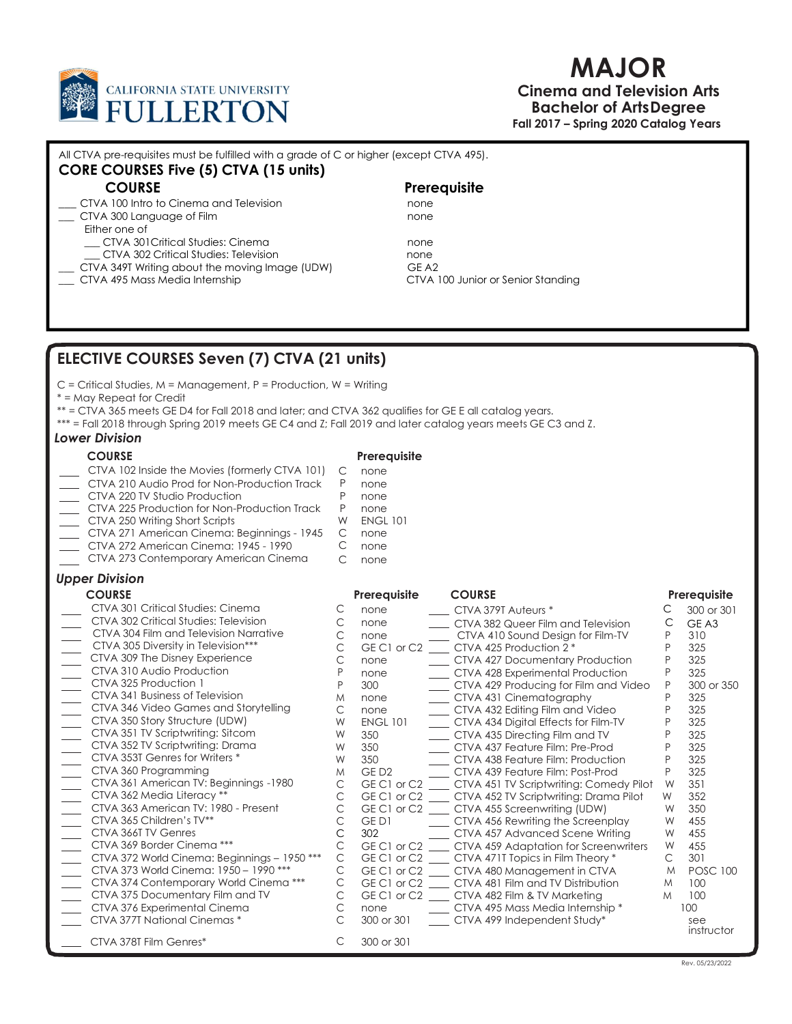

# MAJOR

### Cinema and Television Arts Bachelor of Arts Degree Fall 2017 – Spring 2020 Catalog Years

| All CTVA pre-requisites must be fulfilled with a grade of C or higher (except CTVA 495). |              |
|------------------------------------------------------------------------------------------|--------------|
| <b>CORE COURSES Five (5) CTVA (15 units)</b>                                             |              |
| <b>COURSE</b>                                                                            | Prerequisite |

\_\_\_ CTVA 100 Intro to Cinema and Television none \_\_\_ CTVA 300 Language of Film none Either one of \_\_\_ CTVA 301Critical Studies: Cinema none \_\_\_ CTVA 302 Critical Studies: Television none CTVA 349T Writing about the moving Image (UDW) GE A2 \_\_\_ CTVA 495 Mass Media Internship CTVA 100 Junior or Senior Standing

# ELECTIVE COURSES Seven (7) CTVA (21 units)

C = Critical Studies, M = Management, P = Production, W = Writing

\* = May Repeat for Credit

\*\* = CTVA 365 meets GE D4 for Fall 2018 and later; and CTVA 362 qualifies for GE E all catalog years.

\*\*\* = Fall 2018 through Spring 2019 meets GE C4 and Z; Fall 2019 and later catalog years meets GE C3 and Z.

### Lower Division

- COURSE Prerequisite
- CTVA 102 Inside the Movies (formerly CTVA 101) C none
- CTVA 210 Audio Prod for Non-Production Track P none
	- CTVA 220 TV Studio Production P none<br>CTVA 225 Production for Non-Production Track P none
	- CTVA 225 Production for Non-Production Track
- CTVA 250 Writing Short Scripts WW ENGL 101
- CTVA 271 American Cinema: Beginnings 1945 C none
- CTVA 272 American Cinema: 1945 1990 C none
- CTVA 273 Contemporary American Cinema C none

### Upper Division

| <b>COURSE</b>                                |   | Prerequisite     | <b>COURSE</b>                           |   | Prerequisite      |  |
|----------------------------------------------|---|------------------|-----------------------------------------|---|-------------------|--|
| CTVA 301 Critical Studies: Cinema            |   | none             | CTVA 379T Auteurs *                     |   | 300 or 301        |  |
| CTVA 302 Critical Studies: Television        |   | none             | CTVA 382 Queer Film and Television      |   | GE A3             |  |
| CTVA 304 Film and Television Narrative       |   | none             | CTVA 410 Sound Design for Film-TV       |   | 310               |  |
| CTVA 305 Diversity in Television***          |   | GE C1 or C2      | CTVA 425 Production 2 *                 |   | 325               |  |
| CTVA 309 The Disney Experience               |   | none             | CTVA 427 Documentary Production         |   | 325               |  |
| CTVA 310 Audio Production                    |   | none             | CTVA 428 Experimental Production        |   | 325               |  |
| CTVA 325 Production                          |   | 300              | CTVA 429 Producing for Film and Video   |   | 300 or 350        |  |
| CTVA 341 Business of Television              |   | none             | CTVA 431 Cinematography                 |   | 325               |  |
| CTVA 346 Video Games and Storytelling        |   | none             | CTVA 432 Editing Film and Video         |   | 325               |  |
| CTVA 350 Story Structure (UDW)               | W | <b>ENGL 101</b>  | CTVA 434 Digital Effects for Film-TV    |   | 325               |  |
| CTVA 351 TV Scriptwriting: Sitcom            |   | 350              | CTVA 435 Directing Film and TV          |   | 325               |  |
| CTVA 352 TV Scriptwriting: Drama             |   | 350              | CTVA 437 Feature Film: Pre-Prod         |   | 325               |  |
| CTVA 353T Genres for Writers *               | W | 350              | CTVA 438 Feature Film: Production       |   | 325               |  |
| CTVA 360 Programming                         |   | GED <sub>2</sub> | CTVA 439 Feature Film: Post-Prod        |   | 325               |  |
| CTVA 361 American TV: Beginnings -1980       |   | GE C1 or C2      | CTVA 451 TV Scriptwriting: Comedy Pilot |   | 351               |  |
| CTVA 362 Media Literacy **                   |   | GE C1 or C2      | CTVA 452 TV Scriptwriting: Drama Pilot  | W | 352               |  |
| CTVA 363 American TV: 1980 - Present         |   | GE C1 or C2      | CTVA 455 Screenwriting (UDW)            | W | 350               |  |
| CTVA 365 Children's TV**                     |   | GE D1            | CTVA 456 Rewriting the Screenplay       | W | 455               |  |
| CTVA 366T TV Genres                          |   | 302              | CTVA 457 Advanced Scene Writing         | W | 455               |  |
| CTVA 369 Border Cinema ***                   |   | GE C1 or C2      | CTVA 459 Adaptation for Screenwriters   | W | 455               |  |
| CTVA 372 World Cinema: Beginnings - 1950 *** |   | GE C1 or C2      | CTVA 471T Topics in Film Theory *       |   | 301               |  |
| CTVA 373 World Cinema: 1950 - 1990 ***       |   | GE C1 or C2      | CTVA 480 Management in CTVA             |   | <b>POSC 100</b>   |  |
| CTVA 374 Contemporary World Cinema ***       |   | GE C1 or C2      | CTVA 481 Film and TV Distribution       |   | 100               |  |
| CTVA 375 Documentary Film and TV             |   | GEC1 or C2       | CTVA 482 Film & TV Marketing            | M | 100               |  |
| CTVA 376 Experimental Cinema                 |   | none             | CTVA 495 Mass Media Internship *        |   | 100               |  |
| CTVA 377T National Cinemas *                 |   | 300 or 301       | CTVA 499 Independent Study*             |   | see<br>instructor |  |
| CTVA 378T Film Genres*                       |   | 300 or 301       |                                         |   |                   |  |